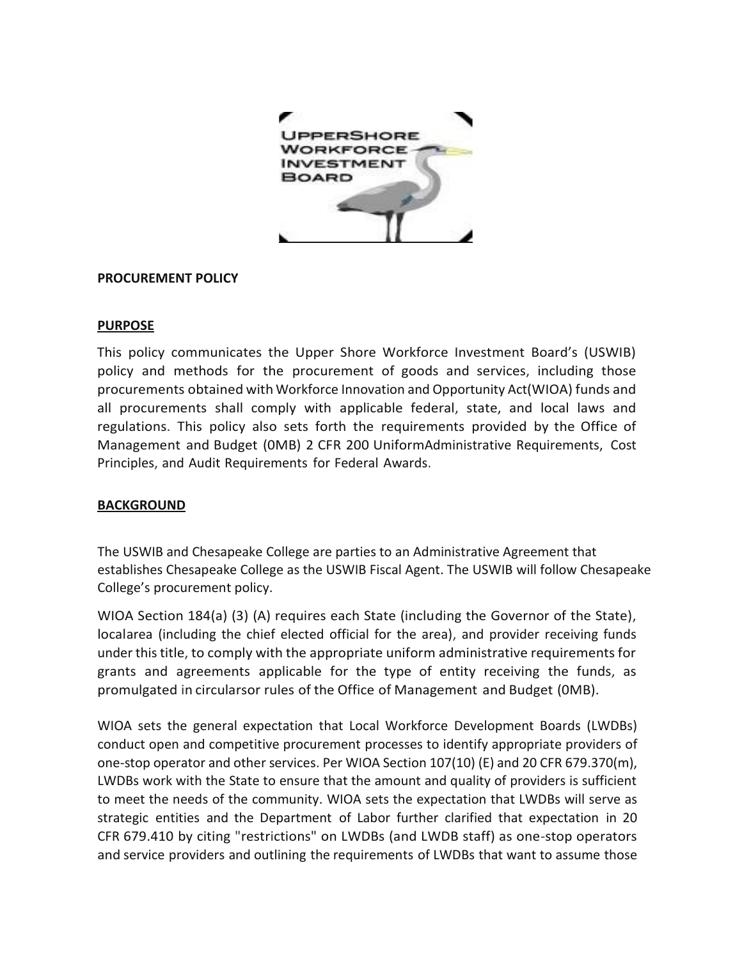

#### **PROCUREMENT POLICY**

#### **PURPOSE**

This policy communicates the Upper Shore Workforce Investment Board's (USWIB) policy and methods for the procurement of goods and services, including those procurements obtained with Workforce Innovation and Opportunity Act(WIOA) funds and all procurements shall comply with applicable federal, state, and local laws and regulations. This policy also sets forth the requirements provided by the Office of Management and Budget (0MB) 2 CFR 200 UniformAdministrative Requirements, Cost Principles, and Audit Requirements for Federal Awards.

## **BACKGROUND**

The USWIB and Chesapeake College are parties to an Administrative Agreement that establishes Chesapeake College as the USWIB Fiscal Agent. The USWIB will follow Chesapeake College's procurement policy.

WIOA Section 184(a) (3) (A) requires each State (including the Governor of the State), localarea (including the chief elected official for the area), and provider receiving funds under this title, to comply with the appropriate uniform administrative requirements for grants and agreements applicable for the type of entity receiving the funds, as promulgated in circularsor rules of the Office of Management and Budget (0MB).

WIOA sets the general expectation that Local Workforce Development Boards (LWDBs) conduct open and competitive procurement processes to identify appropriate providers of one-stop operator and other services. Per WIOA Section 107(10) (E) and 20 CFR 679.370(m), LWDBs work with the State to ensure that the amount and quality of providers is sufficient to meet the needs of the community. WIOA sets the expectation that LWDBs will serve as strategic entities and the Department of Labor further clarified that expectation in 20 CFR 679.410 by citing "restrictions" on LWDBs (and LWDB staff) as one-stop operators and service providers and outlining the requirements of LWDBs that want to assume those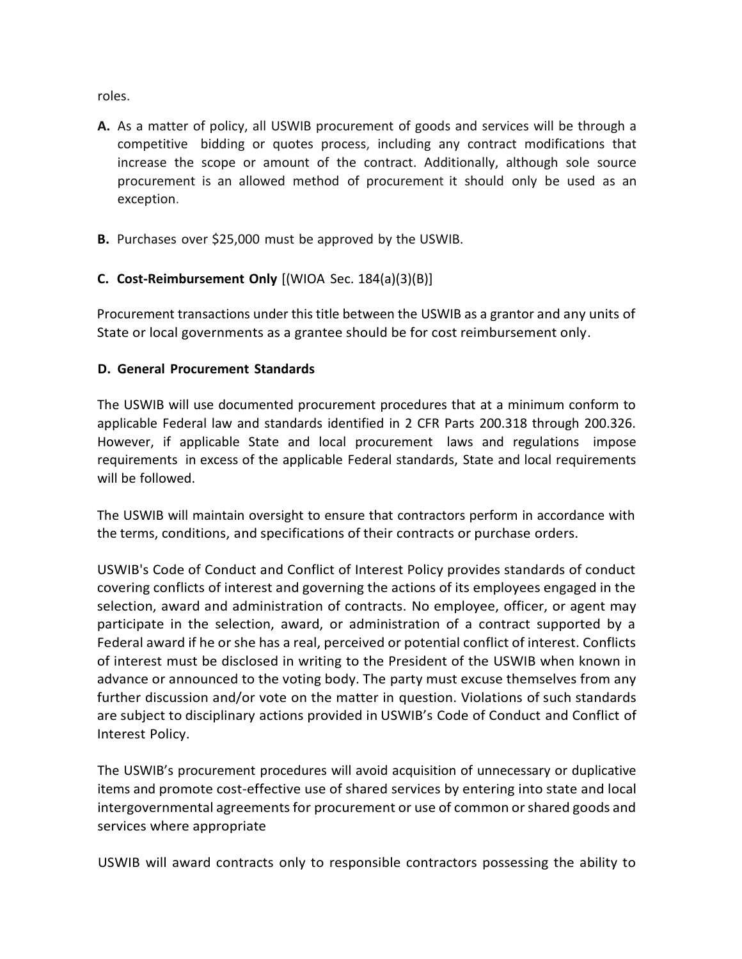roles.

- **A.** As a matter of policy, all USWIB procurement of goods and services will be through a competitive bidding or quotes process, including any contract modifications that increase the scope or amount of the contract. Additionally, although sole source procurement is an allowed method of procurement it should only be used as an exception.
- **B.** Purchases over \$25,000 must be approved by the USWIB.

# **C. Cost-Reimbursement Only** [(WIOA Sec. 184(a)(3)(B)]

Procurement transactions under this title between the USWIB as a grantor and any units of State or local governments as a grantee should be for cost reimbursement only.

## **D. General Procurement Standards**

The USWIB will use documented procurement procedures that at a minimum conform to applicable Federal law and standards identified in 2 CFR Parts 200.318 through 200.326. However, if applicable State and local procurement laws and regulations impose requirements in excess of the applicable Federal standards, State and local requirements will be followed.

The USWIB will maintain oversight to ensure that contractors perform in accordance with the terms, conditions, and specifications of their contracts or purchase orders.

USWIB's Code of Conduct and Conflict of Interest Policy provides standards of conduct covering conflicts of interest and governing the actions of its employees engaged in the selection, award and administration of contracts. No employee, officer, or agent may participate in the selection, award, or administration of a contract supported by a Federal award if he or she has a real, perceived or potential conflict of interest. Conflicts of interest must be disclosed in writing to the President of the USWIB when known in advance or announced to the voting body. The party must excuse themselves from any further discussion and/or vote on the matter in question. Violations of such standards are subject to disciplinary actions provided in USWIB's Code of Conduct and Conflict of Interest Policy.

The USWIB's procurement procedures will avoid acquisition of unnecessary or duplicative items and promote cost-effective use of shared services by entering into state and local intergovernmental agreements for procurement or use of common or shared goods and services where appropriate

USWIB will award contracts only to responsible contractors possessing the ability to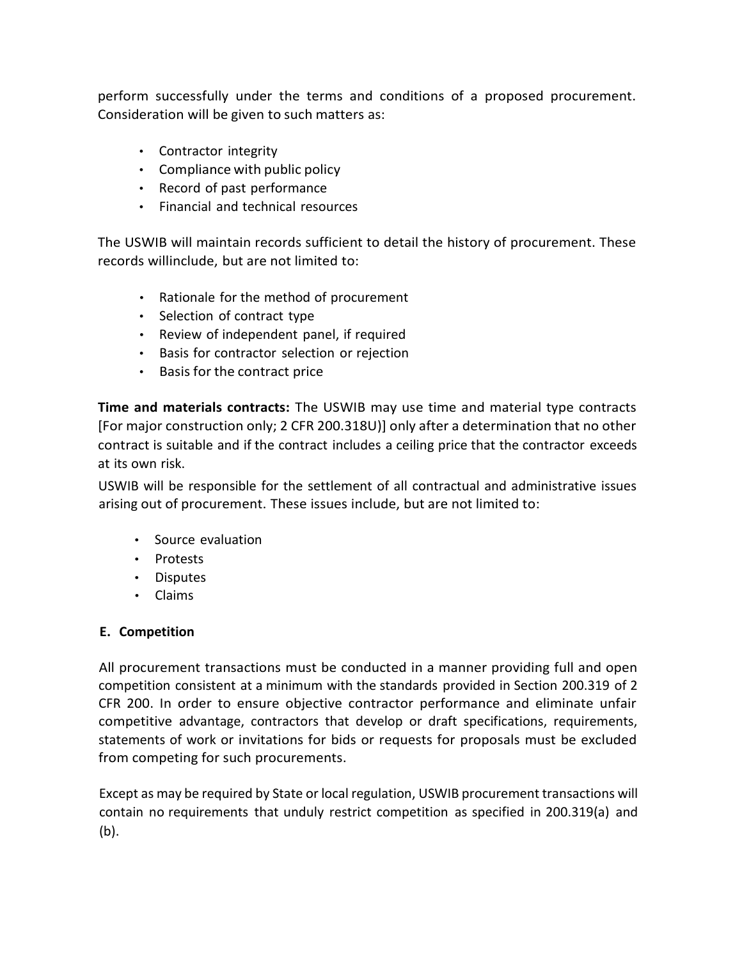perform successfully under the terms and conditions of a proposed procurement. Consideration will be given to such matters as:

- Contractor integrity
- Compliance with public policy
- Record of past performance
- Financial and technical resources

The USWIB will maintain records sufficient to detail the history of procurement. These records willinclude, but are not limited to:

- Rationale for the method of procurement
- Selection of contract type
- Review of independent panel, if required
- Basis for contractor selection or rejection
- Basis for the contract price

**Time and materials contracts:** The USWIB may use time and material type contracts [For major construction only; 2 CFR 200.318U)] only after a determination that no other contract is suitable and if the contract includes a ceiling price that the contractor exceeds at its own risk.

USWIB will be responsible for the settlement of all contractual and administrative issues arising out of procurement. These issues include, but are not limited to:

- Source evaluation
- Protests
- Disputes
- Claims

## **E. Competition**

All procurement transactions must be conducted in a manner providing full and open competition consistent at a minimum with the standards provided in Section 200.319 of 2 CFR 200. In order to ensure objective contractor performance and eliminate unfair competitive advantage, contractors that develop or draft specifications, requirements, statements of work or invitations for bids or requests for proposals must be excluded from competing for such procurements.

Except as may be required by State or local regulation, USWIB procurement transactions will contain no requirements that unduly restrict competition as specified in 200.319(a) and (b).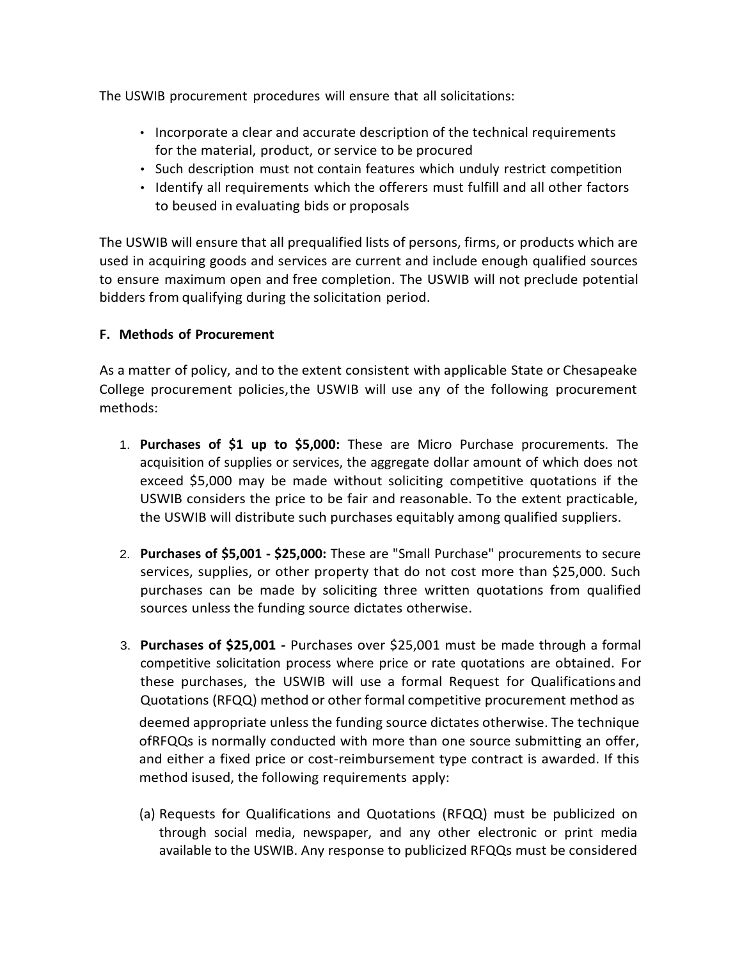The USWIB procurement procedures will ensure that all solicitations:

- Incorporate a clear and accurate description of the technical requirements for the material, product, or service to be procured
- Such description must not contain features which unduly restrict competition
- Identify all requirements which the offerers must fulfill and all other factors to beused in evaluating bids or proposals

The USWIB will ensure that all prequalified lists of persons, firms, or products which are used in acquiring goods and services are current and include enough qualified sources to ensure maximum open and free completion. The USWIB will not preclude potential bidders from qualifying during the solicitation period.

# **F. Methods of Procurement**

As a matter of policy, and to the extent consistent with applicable State or Chesapeake College procurement policies,the USWIB will use any of the following procurement methods:

- 1. **Purchases of \$1 up to \$5,000:** These are Micro Purchase procurements. The acquisition of supplies or services, the aggregate dollar amount of which does not exceed \$5,000 may be made without soliciting competitive quotations if the USWIB considers the price to be fair and reasonable. To the extent practicable, the USWIB will distribute such purchases equitably among qualified suppliers.
- 2. **Purchases of \$5,001 - \$25,000:** These are "Small Purchase" procurements to secure services, supplies, or other property that do not cost more than \$25,000. Such purchases can be made by soliciting three written quotations from qualified sources unless the funding source dictates otherwise.
- 3. **Purchases of \$25,001 -** Purchases over \$25,001 must be made through a formal competitive solicitation process where price or rate quotations are obtained. For these purchases, the USWIB will use a formal Request for Qualifications and Quotations (RFQQ) method or other formal competitive procurement method as

deemed appropriate unless the funding source dictates otherwise. The technique ofRFQQs is normally conducted with more than one source submitting an offer, and either a fixed price or cost-reimbursement type contract is awarded. If this method isused, the following requirements apply:

(a) Requests for Qualifications and Quotations (RFQQ) must be publicized on through social media, newspaper, and any other electronic or print media available to the USWIB. Any response to publicized RFQQs must be considered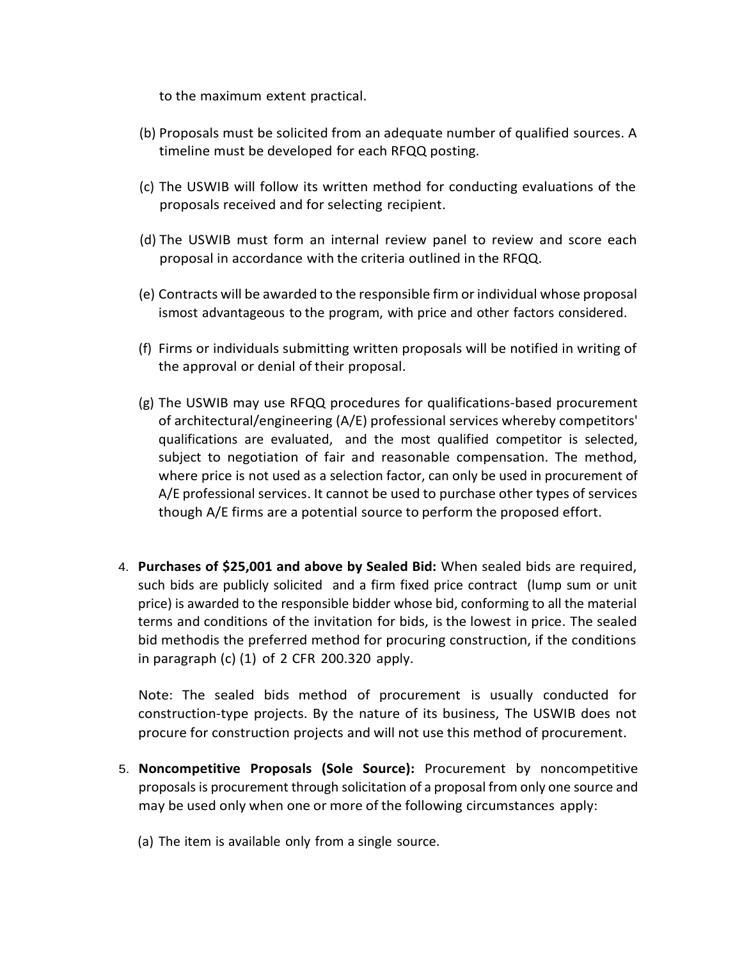to the maximum extent practical.

- (b) Proposals must be solicited from an adequate number of qualified sources. A timeline must be developed for each RFQQ posting.
- (c) The USWIB will follow its written method for conducting evaluations of the proposals received and for selecting recipient.
- (d) The USWIB must form an internal review panel to review and score each proposal in accordance with the criteria outlined in the RFQQ.
- (e) Contracts will be awarded to the responsible firm or individual whose proposal ismost advantageous to the program, with price and other factors considered.
- (f) Firms or individuals submitting written proposals will be notified in writing of the approval or denial of their proposal.
- (g) The USWIB may use RFQQ procedures for qualifications-based procurement of architectural/engineering (A/E) professional services whereby competitors' qualifications are evaluated, and the most qualified competitor is selected, subject to negotiation of fair and reasonable compensation. The method, where price is not used as a selection factor, can only be used in procurement of A/E professional services. It cannot be used to purchase other types of services though A/E firms are a potential source to perform the proposed effort.
- 4. **Purchases of \$25,001 and above by Sealed Bid:** When sealed bids are required, such bids are publicly solicited and a firm fixed price contract (lump sum or unit price) is awarded to the responsible bidder whose bid, conforming to all the material terms and conditions of the invitation for bids, is the lowest in price. The sealed bid methodis the preferred method for procuring construction, if the conditions in paragraph (c) (1) of 2 CFR 200.320 apply.

Note: The sealed bids method of procurement is usually conducted for construction-type projects. By the nature of its business, The USWIB does not procure for construction projects and will not use this method of procurement.

- 5. **Noncompetitive Proposals (Sole Source):** Procurement by noncompetitive proposals is procurement through solicitation of a proposal from only one source and may be used only when one or more of the following circumstances apply:
	- (a) The item is available only from a single source.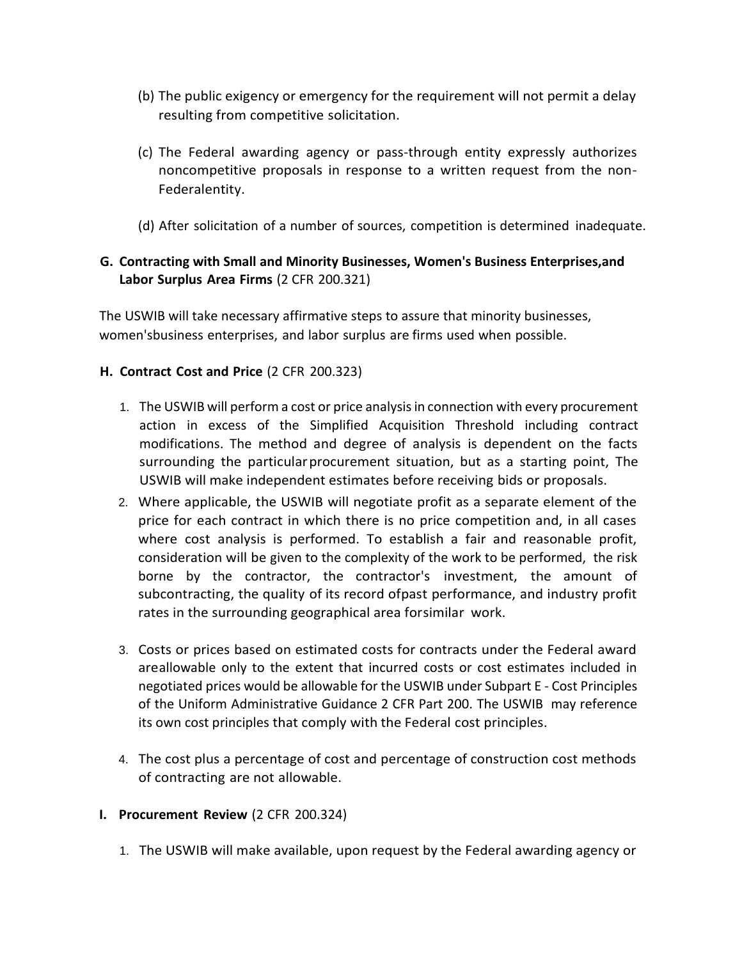- (b) The public exigency or emergency for the requirement will not permit a delay resulting from competitive solicitation.
- (c) The Federal awarding agency or pass-through entity expressly authorizes noncompetitive proposals in response to a written request from the non-Federalentity.
- (d) After solicitation of a number of sources, competition is determined inadequate.

## **G. Contracting with Small and Minority Businesses, Women's Business Enterprises,and Labor Surplus Area Firms** (2 CFR 200.321)

The USWIB will take necessary affirmative steps to assure that minority businesses, women'sbusiness enterprises, and labor surplus are firms used when possible.

## **H. Contract Cost and Price** (2 CFR 200.323)

- 1. The USWIB will perform a cost or price analysis in connection with every procurement action in excess of the Simplified Acquisition Threshold including contract modifications. The method and degree of analysis is dependent on the facts surrounding the particularprocurement situation, but as a starting point, The USWIB will make independent estimates before receiving bids or proposals.
- 2. Where applicable, the USWIB will negotiate profit as a separate element of the price for each contract in which there is no price competition and, in all cases where cost analysis is performed. To establish a fair and reasonable profit, consideration will be given to the complexity of the work to be performed, the risk borne by the contractor, the contractor's investment, the amount of subcontracting, the quality of its record ofpast performance, and industry profit rates in the surrounding geographical area forsimilar work.
- 3. Costs or prices based on estimated costs for contracts under the Federal award areallowable only to the extent that incurred costs or cost estimates included in negotiated prices would be allowable for the USWIB under Subpart E - Cost Principles of the Uniform Administrative Guidance 2 CFR Part 200. The USWIB may reference its own cost principles that comply with the Federal cost principles.
- 4. The cost plus a percentage of cost and percentage of construction cost methods of contracting are not allowable.
- **I. Procurement Review** (2 CFR 200.324)
	- 1. The USWIB will make available, upon request by the Federal awarding agency or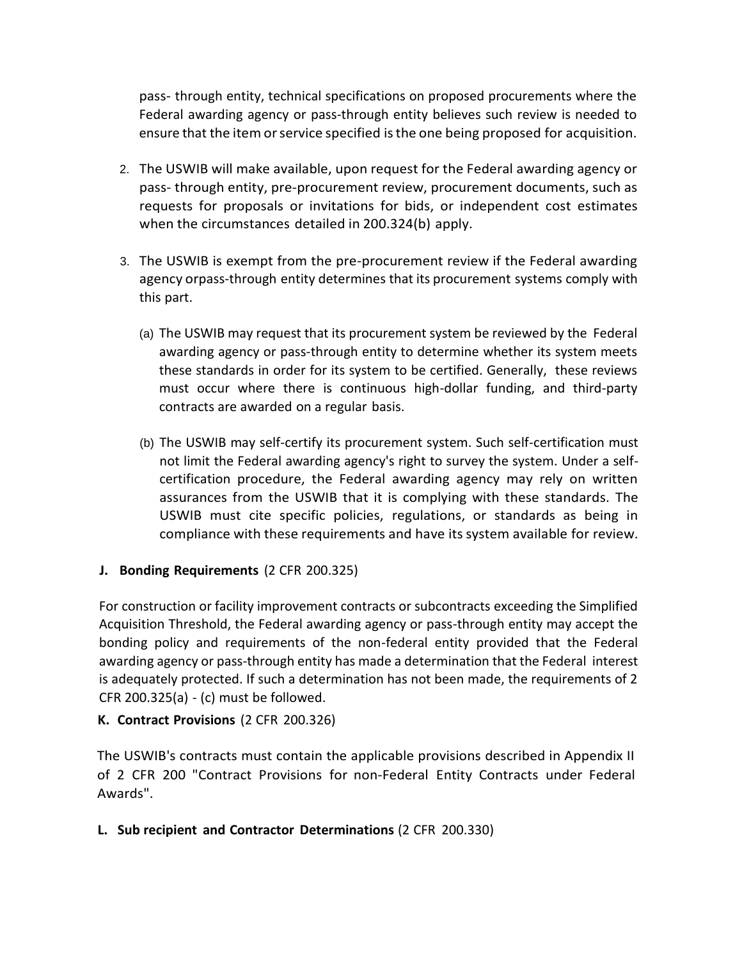pass- through entity, technical specifications on proposed procurements where the Federal awarding agency or pass-through entity believes such review is needed to ensure that the item or service specified is the one being proposed for acquisition.

- 2. The USWIB will make available, upon request for the Federal awarding agency or pass- through entity, pre-procurement review, procurement documents, such as requests for proposals or invitations for bids, or independent cost estimates when the circumstances detailed in 200.324(b) apply.
- 3. The USWIB is exempt from the pre-procurement review if the Federal awarding agency orpass-through entity determines that its procurement systems comply with this part.
	- (a) The USWIB may request that its procurement system be reviewed by the Federal awarding agency or pass-through entity to determine whether its system meets these standards in order for its system to be certified. Generally, these reviews must occur where there is continuous high-dollar funding, and third-party contracts are awarded on a regular basis.
	- (b) The USWIB may self-certify its procurement system. Such self-certification must not limit the Federal awarding agency's right to survey the system. Under a selfcertification procedure, the Federal awarding agency may rely on written assurances from the USWIB that it is complying with these standards. The USWIB must cite specific policies, regulations, or standards as being in compliance with these requirements and have itssystem available for review.
- **J. Bonding Requirements** (2 CFR 200.325)

For construction or facility improvement contracts or subcontracts exceeding the Simplified Acquisition Threshold, the Federal awarding agency or pass-through entity may accept the bonding policy and requirements of the non-federal entity provided that the Federal awarding agency or pass-through entity has made a determination that the Federal interest is adequately protected. If such a determination has not been made, the requirements of 2 CFR 200.325(a) - (c) must be followed.

## **K. Contract Provisions** (2 CFR 200.326)

The USWIB's contracts must contain the applicable provisions described in Appendix II of 2 CFR 200 "Contract Provisions for non-Federal Entity Contracts under Federal Awards".

**L. Sub recipient and Contractor Determinations** (2 CFR 200.330)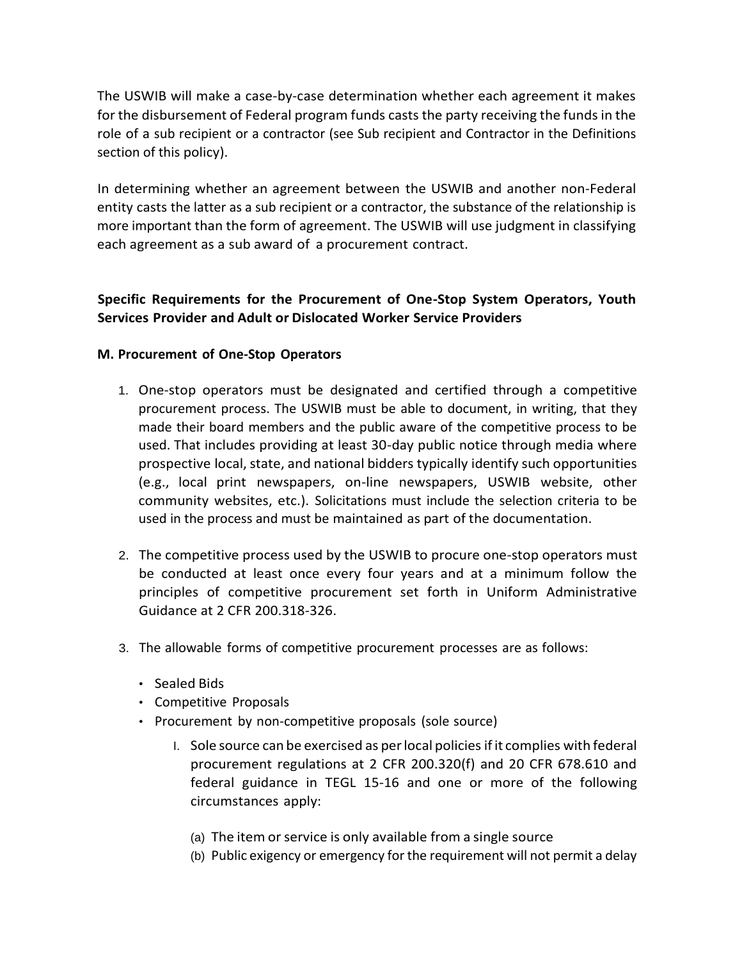The USWIB will make a case-by-case determination whether each agreement it makes for the disbursement of Federal program funds casts the party receiving the funds in the role of a sub recipient or a contractor (see Sub recipient and Contractor in the Definitions section of this policy).

In determining whether an agreement between the USWIB and another non-Federal entity casts the latter as a sub recipient or a contractor, the substance of the relationship is more important than the form of agreement. The USWIB will use judgment in classifying each agreement as a sub award of a procurement contract.

# **Specific Requirements for the Procurement of One-Stop System Operators, Youth Services Provider and Adult or Dislocated Worker Service Providers**

#### **M. Procurement of One-Stop Operators**

- 1. One-stop operators must be designated and certified through a competitive procurement process. The USWIB must be able to document, in writing, that they made their board members and the public aware of the competitive process to be used. That includes providing at least 30-day public notice through media where prospective local, state, and national bidders typically identify such opportunities (e.g., local print newspapers, on-line newspapers, USWIB website, other community websites, etc.). Solicitations must include the selection criteria to be used in the process and must be maintained as part of the documentation.
- 2. The competitive process used by the USWIB to procure one-stop operators must be conducted at least once every four years and at a minimum follow the principles of competitive procurement set forth in Uniform Administrative Guidance at 2 CFR 200.318-326.
- 3. The allowable forms of competitive procurement processes are as follows:
	- Sealed Bids
	- Competitive Proposals
	- Procurement by non-competitive proposals (sole source)
		- I. Sole source can be exercised as per local policies if it complies with federal procurement regulations at 2 CFR 200.320(f) and 20 CFR 678.610 and federal guidance in TEGL 15-16 and one or more of the following circumstances apply:
			- (a) The item or service is only available from a single source
			- (b) Public exigency or emergency for the requirement will not permit a delay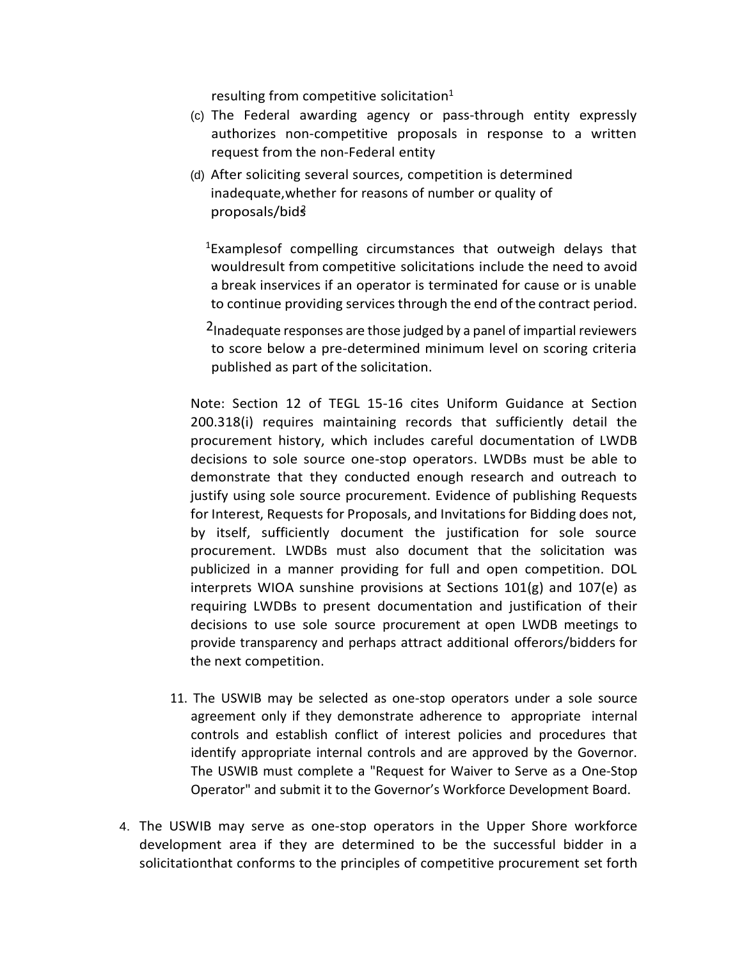resulting from competitive solicitation $1$ 

- (c) The Federal awarding agency or pass-through entity expressly authorizes non-competitive proposals in response to a written request from the non-Federal entity
- (d) After soliciting several sources, competition is determined inadequate,whether for reasons of number or quality of proposals/bidś

<sup>1</sup>Examplesof compelling circumstances that outweigh delays that wouldresult from competitive solicitations include the need to avoid a break inservices if an operator is terminated for cause or is unable to continue providing services through the end of the contract period.

2Inadequate responses are those judged by a panel of impartial reviewers to score below a pre-determined minimum level on scoring criteria published as part of the solicitation.

Note: Section 12 of TEGL 15-16 cites Uniform Guidance at Section 200.318(i) requires maintaining records that sufficiently detail the procurement history, which includes careful documentation of LWDB decisions to sole source one-stop operators. LWDBs must be able to demonstrate that they conducted enough research and outreach to justify using sole source procurement. Evidence of publishing Requests for Interest, Requests for Proposals, and Invitations for Bidding does not, by itself, sufficiently document the justification for sole source procurement. LWDBs must also document that the solicitation was publicized in a manner providing for full and open competition. DOL interprets WIOA sunshine provisions at Sections 101(g) and 107(e) as requiring LWDBs to present documentation and justification of their decisions to use sole source procurement at open LWDB meetings to provide transparency and perhaps attract additional offerors/bidders for the next competition.

- 11. The USWIB may be selected as one-stop operators under a sole source agreement only if they demonstrate adherence to appropriate internal controls and establish conflict of interest policies and procedures that identify appropriate internal controls and are approved by the Governor. The USWIB must complete a "Request for Waiver to Serve as a One-Stop Operator" and submit it to the Governor's Workforce Development Board.
- 4. The USWIB may serve as one-stop operators in the Upper Shore workforce development area if they are determined to be the successful bidder in a solicitationthat conforms to the principles of competitive procurement set forth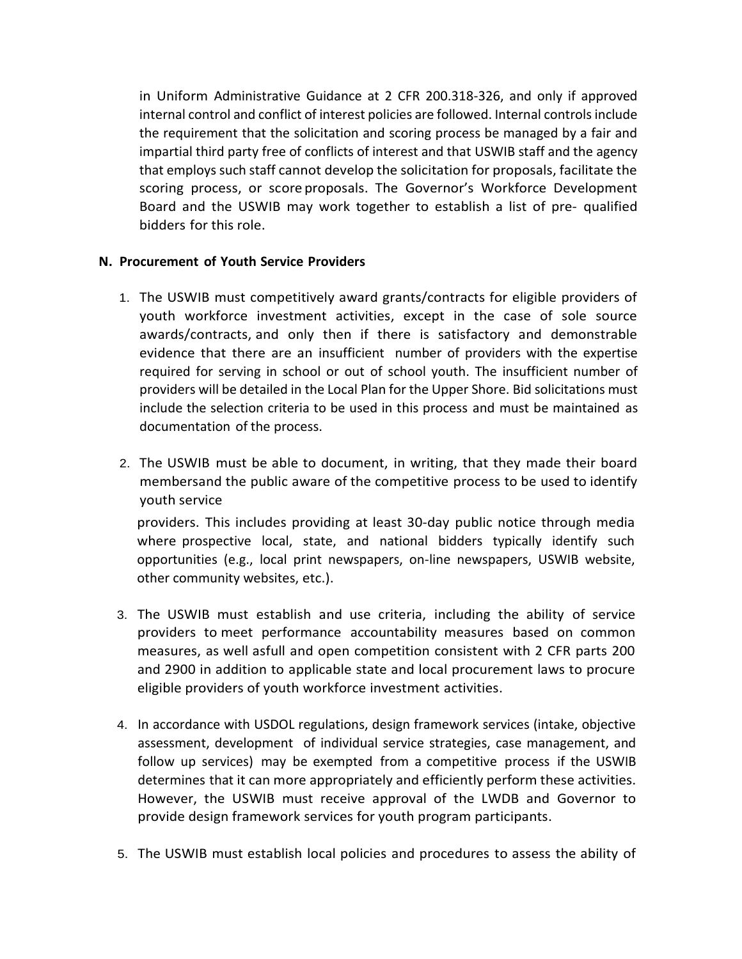in Uniform Administrative Guidance at 2 CFR 200.318-326, and only if approved internal control and conflict of interest policies are followed. Internal controls include the requirement that the solicitation and scoring process be managed by a fair and impartial third party free of conflicts of interest and that USWIB staff and the agency that employs such staff cannot develop the solicitation for proposals, facilitate the scoring process, or score proposals. The Governor's Workforce Development Board and the USWIB may work together to establish a list of pre- qualified bidders for this role.

#### **N. Procurement of Youth Service Providers**

- 1. The USWIB must competitively award grants/contracts for eligible providers of youth workforce investment activities, except in the case of sole source awards/contracts, and only then if there is satisfactory and demonstrable evidence that there are an insufficient number of providers with the expertise required for serving in school or out of school youth. The insufficient number of providers will be detailed in the Local Plan for the Upper Shore. Bid solicitations must include the selection criteria to be used in this process and must be maintained as documentation of the process.
- 2. The USWIB must be able to document, in writing, that they made their board membersand the public aware of the competitive process to be used to identify youth service

providers. This includes providing at least 30-day public notice through media where prospective local, state, and national bidders typically identify such opportunities (e.g., local print newspapers, on-line newspapers, USWIB website, other community websites, etc.).

- 3. The USWIB must establish and use criteria, including the ability of service providers to meet performance accountability measures based on common measures, as well asfull and open competition consistent with 2 CFR parts 200 and 2900 in addition to applicable state and local procurement laws to procure eligible providers of youth workforce investment activities.
- 4. In accordance with USDOL regulations, design framework services (intake, objective assessment, development of individual service strategies, case management, and follow up services) may be exempted from a competitive process if the USWIB determines that it can more appropriately and efficiently perform these activities. However, the USWIB must receive approval of the LWDB and Governor to provide design framework services for youth program participants.
- 5. The USWIB must establish local policies and procedures to assess the ability of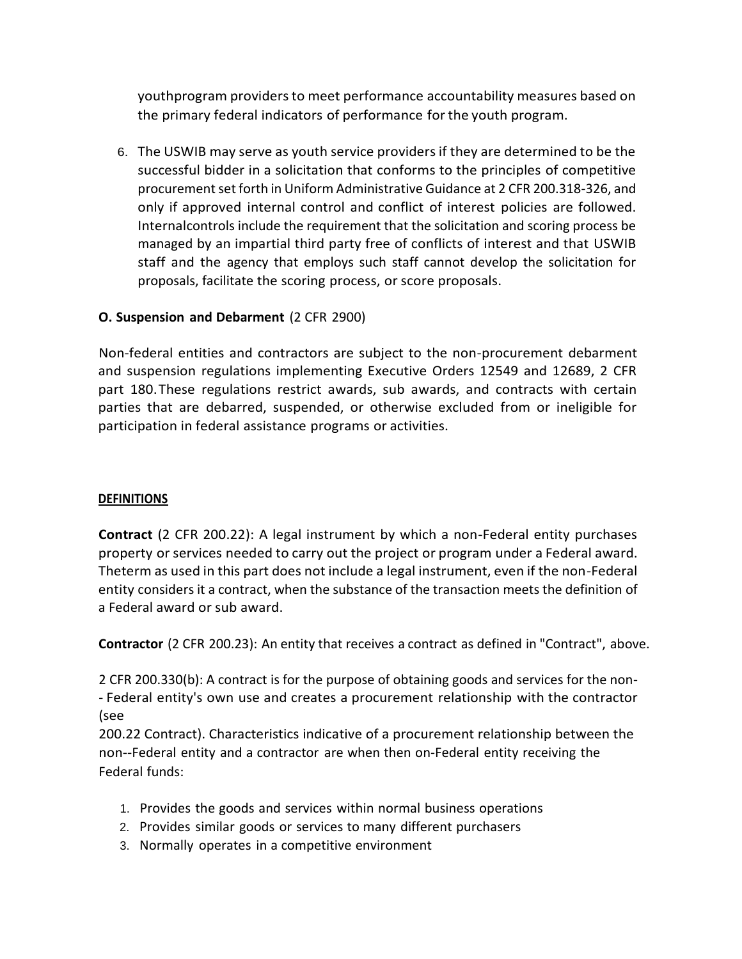youthprogram providers to meet performance accountability measures based on the primary federal indicators of performance for the youth program.

6. The USWIB may serve as youth service providers if they are determined to be the successful bidder in a solicitation that conforms to the principles of competitive procurement set forth in Uniform Administrative Guidance at 2 CFR 200.318-326, and only if approved internal control and conflict of interest policies are followed. Internalcontrols include the requirement that the solicitation and scoring process be managed by an impartial third party free of conflicts of interest and that USWIB staff and the agency that employs such staff cannot develop the solicitation for proposals, facilitate the scoring process, or score proposals.

# **O. Suspension and Debarment** (2 CFR 2900)

Non-federal entities and contractors are subject to the non-procurement debarment and suspension regulations implementing Executive Orders 12549 and 12689, 2 CFR part 180.These regulations restrict awards, sub awards, and contracts with certain parties that are debarred, suspended, or otherwise excluded from or ineligible for participation in federal assistance programs or activities.

## **DEFINITIONS**

**Contract** (2 CFR 200.22): A legal instrument by which a non-Federal entity purchases property or services needed to carry out the project or program under a Federal award. Theterm as used in this part does not include a legal instrument, even if the non-Federal entity considers it a contract, when the substance of the transaction meets the definition of a Federal award or sub award.

**Contractor** (2 CFR 200.23): An entity that receives a contract as defined in "Contract", above.

2 CFR 200.330(b): A contract is for the purpose of obtaining goods and services for the non- - Federal entity's own use and creates a procurement relationship with the contractor (see

200.22 Contract). Characteristics indicative of a procurement relationship between the non--Federal entity and a contractor are when then on-Federal entity receiving the Federal funds:

- 1. Provides the goods and services within normal business operations
- 2. Provides similar goods or services to many different purchasers
- 3. Normally operates in a competitive environment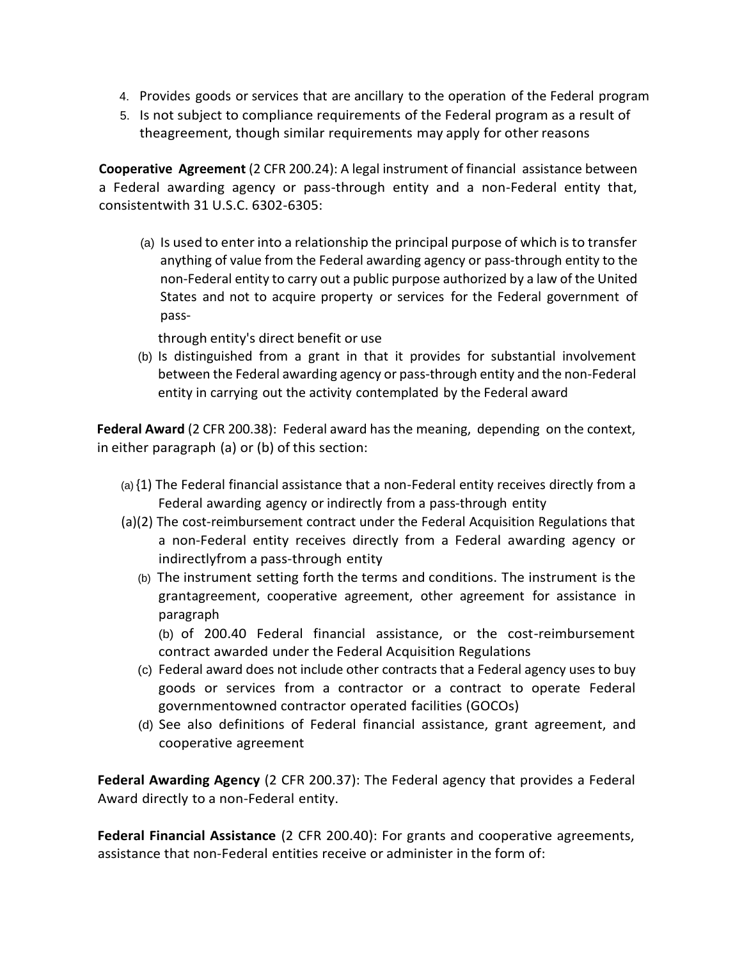- 4. Provides goods or services that are ancillary to the operation of the Federal program
- 5. Is not subject to compliance requirements of the Federal program as a result of theagreement, though similar requirements may apply for other reasons

**Cooperative Agreement** (2 CFR 200.24): A legal instrument of financial assistance between a Federal awarding agency or pass-through entity and a non-Federal entity that, consistentwith 31 U.S.C. 6302-6305:

(a) Is used to enter into a relationship the principal purpose of which is to transfer anything of value from the Federal awarding agency or pass-through entity to the non-Federal entity to carry out a public purpose authorized by a law of the United States and not to acquire property or services for the Federal government of pass-

through entity's direct benefit or use

(b) Is distinguished from a grant in that it provides for substantial involvement between the Federal awarding agency or pass-through entity and the non-Federal entity in carrying out the activity contemplated by the Federal award

**Federal Award** (2 CFR 200.38): Federal award has the meaning, depending on the context, in either paragraph (a) or (b) of this section:

- (a) {1) The Federal financial assistance that a non-Federal entity receives directly from a Federal awarding agency or indirectly from a pass-through entity
- (a)(2) The cost-reimbursement contract under the Federal Acquisition Regulations that a non-Federal entity receives directly from a Federal awarding agency or indirectlyfrom a pass-through entity
	- (b) The instrument setting forth the terms and conditions. The instrument is the grantagreement, cooperative agreement, other agreement for assistance in paragraph

(b) of 200.40 Federal financial assistance, or the cost-reimbursement contract awarded under the Federal Acquisition Regulations

- (c) Federal award does not include other contracts that a Federal agency uses to buy goods or services from a contractor or a contract to operate Federal governmentowned contractor operated facilities (GOCOs)
- (d) See also definitions of Federal financial assistance, grant agreement, and cooperative agreement

**Federal Awarding Agency** (2 CFR 200.37): The Federal agency that provides a Federal Award directly to a non-Federal entity.

**Federal Financial Assistance** (2 CFR 200.40): For grants and cooperative agreements, assistance that non-Federal entities receive or administer in the form of: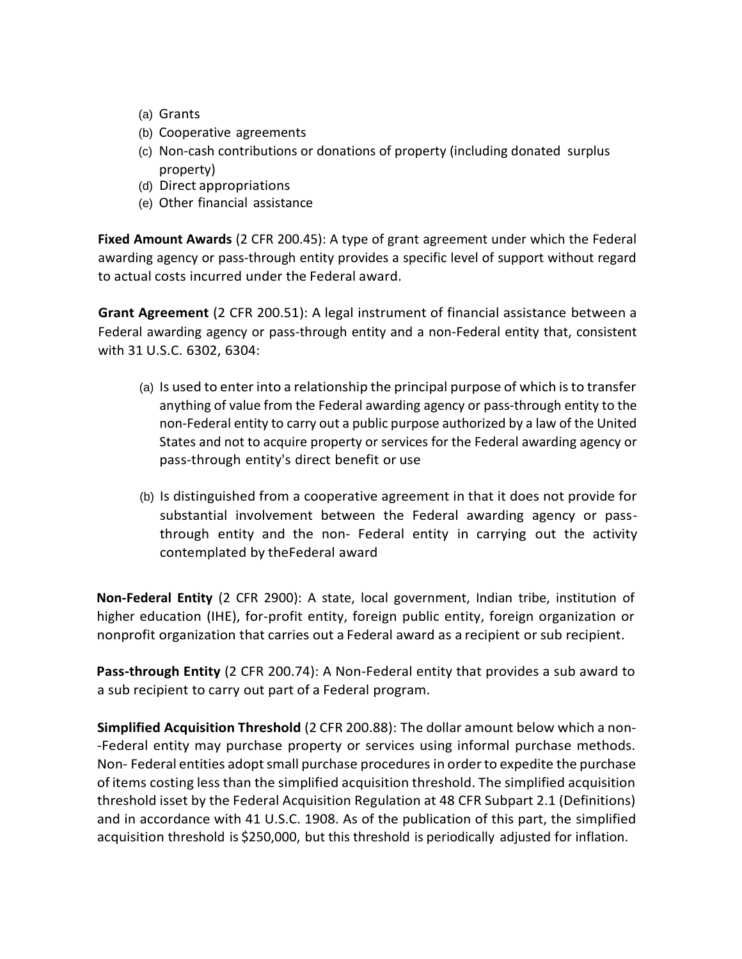- (a) Grants
- (b) Cooperative agreements
- (c) Non-cash contributions or donations of property (including donated surplus property)
- (d) Direct appropriations
- (e) Other financial assistance

**Fixed Amount Awards** (2 CFR 200.45): A type of grant agreement under which the Federal awarding agency or pass-through entity provides a specific level of support without regard to actual costs incurred under the Federal award.

**Grant Agreement** (2 CFR 200.51): A legal instrument of financial assistance between a Federal awarding agency or pass-through entity and a non-Federal entity that, consistent with 31 U.S.C. 6302, 6304:

- (a) Is used to enter into a relationship the principal purpose of which is to transfer anything of value from the Federal awarding agency or pass-through entity to the non-Federal entity to carry out a public purpose authorized by a law of the United States and not to acquire property or services for the Federal awarding agency or pass-through entity's direct benefit or use
- (b) Is distinguished from a cooperative agreement in that it does not provide for substantial involvement between the Federal awarding agency or passthrough entity and the non- Federal entity in carrying out the activity contemplated by theFederal award

**Non-Federal Entity** (2 CFR 2900): A state, local government, Indian tribe, institution of higher education (IHE), for-profit entity, foreign public entity, foreign organization or nonprofit organization that carries out a Federal award as a recipient or sub recipient.

**Pass-through Entity** (2 CFR 200.74): A Non-Federal entity that provides a sub award to a sub recipient to carry out part of a Federal program.

**Simplified Acquisition Threshold** (2 CFR 200.88): The dollar amount below which a non- -Federal entity may purchase property or services using informal purchase methods. Non- Federal entities adopt small purchase procedures in order to expedite the purchase of items costing less than the simplified acquisition threshold. The simplified acquisition threshold isset by the Federal Acquisition Regulation at 48 CFR Subpart 2.1 (Definitions) and in accordance with 41 U.S.C. 1908. As of the publication of this part, the simplified acquisition threshold is \$250,000, but this threshold is periodically adjusted for inflation.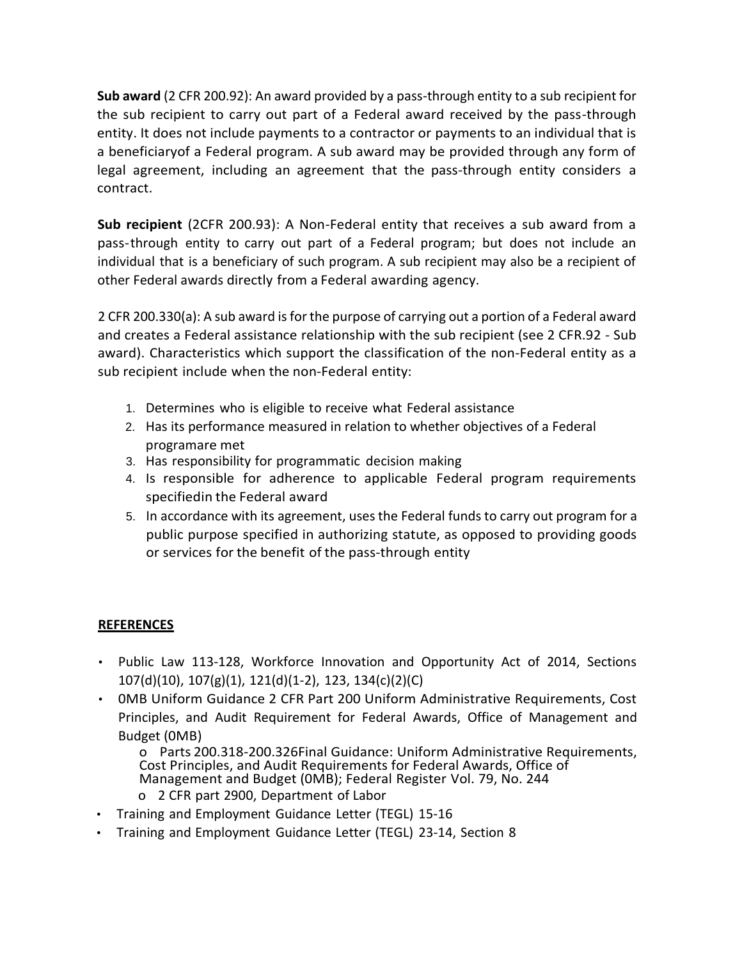**Sub award** (2 CFR 200.92): An award provided by a pass-through entity to a sub recipient for the sub recipient to carry out part of a Federal award received by the pass-through entity. It does not include payments to a contractor or payments to an individual that is a beneficiaryof a Federal program. A sub award may be provided through any form of legal agreement, including an agreement that the pass-through entity considers a contract.

**Sub recipient** (2CFR 200.93): A Non-Federal entity that receives a sub award from a pass-through entity to carry out part of a Federal program; but does not include an individual that is a beneficiary of such program. A sub recipient may also be a recipient of other Federal awards directly from a Federal awarding agency.

2 CFR 200.330(a): A sub award is for the purpose of carrying out a portion of a Federal award and creates a Federal assistance relationship with the sub recipient (see 2 CFR.92 - Sub award). Characteristics which support the classification of the non-Federal entity as a sub recipient include when the non-Federal entity:

- 1. Determines who is eligible to receive what Federal assistance
- 2. Has its performance measured in relation to whether objectives of a Federal programare met
- 3. Has responsibility for programmatic decision making
- 4. Is responsible for adherence to applicable Federal program requirements specifiedin the Federal award
- 5. In accordance with its agreement, uses the Federal funds to carry out program for a public purpose specified in authorizing statute, as opposed to providing goods or services for the benefit of the pass-through entity

## **REFERENCES**

- Public Law 113-128, Workforce Innovation and Opportunity Act of 2014, Sections 107(d)(10), 107(g)(1), 121(d)(1-2), 123, 134(c)(2)(C)
- 0MB Uniform Guidance 2 CFR Part 200 Uniform Administrative Requirements, Cost Principles, and Audit Requirement for Federal Awards, Office of Management and Budget (0MB)

o Parts 200.318-200.326Final Guidance: Uniform Administrative Requirements, Cost Principles, and Audit Requirements for Federal Awards, Office of Management and Budget (0MB); Federal Register Vol. 79, No. 244

- o 2 CFR part 2900, Department of Labor
- Training and Employment Guidance Letter (TEGL) 15-16
- Training and Employment Guidance Letter (TEGL) 23-14, Section 8